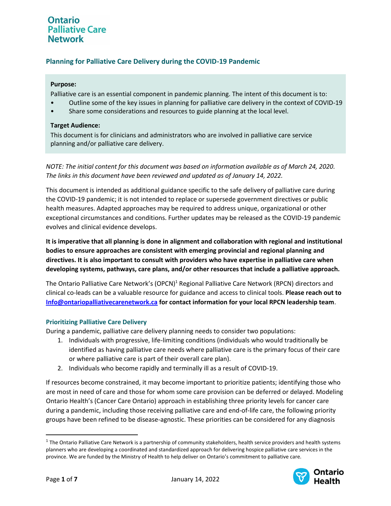## **Planning for Palliative Care Delivery during the COVID-19 Pandemic**

### **Purpose:**

Palliative care is an essential component in pandemic planning. The intent of this document is to:

- Outline some of the key issues in planning for palliative care delivery in the context of COVID-19
- Share some considerations and resources to guide planning at the local level.

#### **Target Audience:**

This document is for clinicians and administrators who are involved in palliative care service planning and/or palliative care delivery.

*NOTE: The initial content for this document was based on information available as of March 24, 2020. The links in this document have been reviewed and updated as of January 14, 2022.*

This document is intended as additional guidance specific to the safe delivery of palliative care during the COVID-19 pandemic; it is not intended to replace or supersede government directives or public health measures. Adapted approaches may be required to address unique, organizational or other exceptional circumstances and conditions. Further updates may be released as the COVID-19 pandemic evolves and clinical evidence develops.

**It is imperative that all planning is done in alignment and collaboration with regional and institutional bodies to ensure approaches are consistent with emerging provincial and regional planning and directives. It is also important to consult with providers who have expertise in palliative care when developing systems, pathways, care plans, and/or other resources that include a palliative approach.** 

The Ontario Palliative Care Network's (OPCN)<sup>1</sup> Regional Palliative Care Network (RPCN) directors and clinical co-leads can be a valuable resource for guidance and access to clinical tools. **Please reach out to [Info@ontariopalliativecarenetwork.ca](mailto:Info@ontariopalliativecarenetwork.ca) for contact information for your local RPCN leadership team**.

### **Prioritizing Palliative Care Delivery**

During a pandemic, palliative care delivery planning needs to consider two populations:

- 1. Individuals with progressive, life-limiting conditions (individuals who would traditionally be identified as having palliative care needs where palliative care is the primary focus of their care or where palliative care is part of their overall care plan).
- 2. Individuals who become rapidly and terminally ill as a result of COVID-19.

If resources become constrained, it may become important to prioritize patients; identifying those who are most in need of care and those for whom some care provision can be deferred or delayed. Modeling Ontario Health's (Cancer Care Ontario) approach in establishing three priority levels for cancer care during a pandemic, including those receiving palliative care and end-of-life care, the following priority groups have been refined to be disease-agnostic. These priorities can be considered for any diagnosis

 $^1$  The Ontario Palliative Care Network is a partnership of community stakeholders, health service providers and health systems planners who are developing a coordinated and standardized approach for delivering hospice palliative care services in the province. We are funded by the Ministry of Health to help deliver on Ontario's commitment to palliative care.

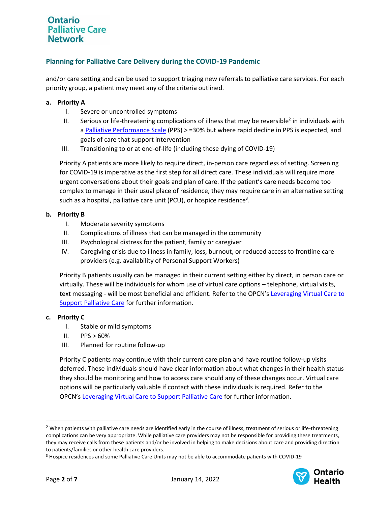## **Planning for Palliative Care Delivery during the COVID-19 Pandemic**

and/or care setting and can be used to support triaging new referrals to palliative care services. For each priority group, a patient may meet any of the criteria outlined.

#### **a. Priority A**

- I. Severe or uncontrolled symptoms
- II. Serious or life-threatening complications of illness that may be reversible<sup>2</sup> in individuals with a [Palliative Performance Scale](https://victoriahospice.org/how-we-can-help/clinical-tools/) (PPS) > =30% but where rapid decline in PPS is expected, and goals of care that support intervention
- III. Transitioning to or at end-of-life (including those dying of COVID-19)

Priority A patients are more likely to require direct, in-person care regardless of setting. Screening for COVID-19 is imperative as the first step for all direct care. These individuals will require more urgent conversations about their goals and plan of care. If the patient's care needs become too complex to manage in their usual place of residence, they may require care in an alternative setting such as a hospital, palliative care unit (PCU), or hospice residence<sup>3</sup>.

#### **b. Priority B**

- I. Moderate severity symptoms
- II. Complications of illness that can be managed in the community
- III. Psychological distress for the patient, family or caregiver
- IV. Caregiving crisis due to illness in family, loss, burnout, or reduced access to frontline care providers (e.g. availability of Personal Support Workers)

Priority B patients usually can be managed in their current setting either by direct, in person care or virtually. These will be individuals for whom use of virtual care options – telephone, virtual visits, text messaging - will be most beneficial and efficient. Refer to the OPCN's [Leveraging Virtual Care to](https://www.ontariopalliativecarenetwork.ca/sites/opcn/files/2021-10/LeveragingVirtualCareforPalliativeCare.pdf)  [Support Palliative Care](https://www.ontariopalliativecarenetwork.ca/sites/opcn/files/2021-10/LeveragingVirtualCareforPalliativeCare.pdf) for further information.

### **c. Priority C**

- I. Stable or mild symptoms
- $II.$  PPS  $> 60\%$
- III. Planned for routine follow-up

Priority C patients may continue with their current care plan and have routine follow-up visits deferred. These individuals should have clear information about what changes in their health status they should be monitoring and how to access care should any of these changes occur. Virtual care options will be particularly valuable if contact with these individuals is required. Refer to the OPCN's [Leveraging Virtual Care to Support Palliative Care](https://www.ontariopalliativecarenetwork.ca/sites/opcn/files/2021-10/LeveragingVirtualCareforPalliativeCare.pdf) for further information.

<sup>3</sup> Hospice residences and some Palliative Care Units may not be able to accommodate patients with COVID-19



<sup>&</sup>lt;sup>2</sup> When patients with palliative care needs are identified early in the course of illness, treatment of serious or life-threatening complications can be very appropriate. While palliative care providers may not be responsible for providing these treatments, they may receive calls from these patients and/or be involved in helping to make decisions about care and providing direction to patients/families or other health care providers.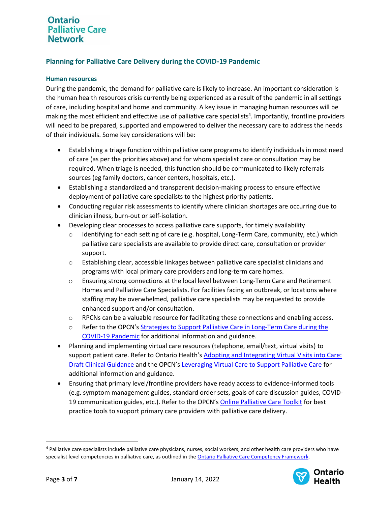## **Planning for Palliative Care Delivery during the COVID-19 Pandemic**

### **Human resources**

During the pandemic, the demand for palliative care is likely to increase. An important consideration is the human health resources crisis currently being experienced as a result of the pandemic in all settings of care, including hospital and home and community. A key issue in managing human resources will be making the most efficient and effective use of palliative care specialists<sup>4</sup>. Importantly, frontline providers will need to be prepared, supported and empowered to deliver the necessary care to address the needs of their individuals. Some key considerations will be:

- Establishing a triage function within palliative care programs to identify individuals in most need of care (as per the priorities above) and for whom specialist care or consultation may be required. When triage is needed, this function should be communicated to likely referrals sources (eg family doctors, cancer centers, hospitals, etc.).
- Establishing a standardized and transparent decision-making process to ensure effective deployment of palliative care specialists to the highest priority patients.
- Conducting regular risk assessments to identify where clinician shortages are occurring due to clinician illness, burn-out or self-isolation.
- Developing clear processes to access palliative care supports, for timely availability
	- o Identifying for each setting of care (e.g. hospital, Long-Term Care, community, etc.) which palliative care specialists are available to provide direct care, consultation or provider support.
	- o Establishing clear, accessible linkages between palliative care specialist clinicians and programs with local primary care providers and long-term care homes.
	- o Ensuring strong connections at the local level between Long-Term Care and Retirement Homes and Palliative Care Specialists. For facilities facing an outbreak, or locations where staffing may be overwhelmed, palliative care specialists may be requested to provide enhanced support and/or consultation.
	- o RPCNs can be a valuable resource for facilitating these connections and enabling access.
	- o Refer to the OPCN's [Strategies to Support Palliative Care in Long-Term Care during the](https://www.ontariopalliativecarenetwork.ca/sites/opcn/files/2021-03/OPCN-StrategiesToSupportPCinLTC.pdf)  [COVID-19 Pandemic](https://www.ontariopalliativecarenetwork.ca/sites/opcn/files/2021-03/OPCN-StrategiesToSupportPCinLTC.pdf) for additional information and guidance.
- Planning and implementing virtual care resources (telephone, email/text, virtual visits) to support patient care. Refer to Ontario Health's [Adopting and Integrating Virtual Visits into Care:](https://quorum.hqontario.ca/Portals/0/Users/170/54/10154/Draft%20Clinical%20Guidance_Adopting%20and%20integrating%20virtual%20visits%20into%20care_V1.pdf?ver=2020-03-13-091936-370)  [Draft Clinical Guidance](https://quorum.hqontario.ca/Portals/0/Users/170/54/10154/Draft%20Clinical%20Guidance_Adopting%20and%20integrating%20virtual%20visits%20into%20care_V1.pdf?ver=2020-03-13-091936-370) and the OPCN's [Leveraging Virtual Care to Support Palliative Care](https://www.ontariopalliativecarenetwork.ca/sites/opcn/files/2021-10/LeveragingVirtualCareforPalliativeCare.pdf) for additional information and guidance.
- Ensuring that primary level/frontline providers have ready access to evidence-informed tools (e.g. symptom management guides, standard order sets, goals of care discussion guides, COVID-19 communication guides, etc.). Refer to the OPCN's [Online Palliative Care Toolkit](https://www.ontariopalliativecarenetwork.ca/resources/palliative-care-toolkit) for best practice tools to support primary care providers with palliative care delivery.

<sup>&</sup>lt;sup>4</sup> Palliative care specialists include palliative care physicians, nurses, social workers, and other health care providers who have specialist level competencies in palliative care, as outlined in th[e Ontario Palliative Care Competency Framework.](https://www.ontariopalliativecarenetwork.ca/sites/opcn/files/2021-01/OPCNCompetencyFramework.pdf)

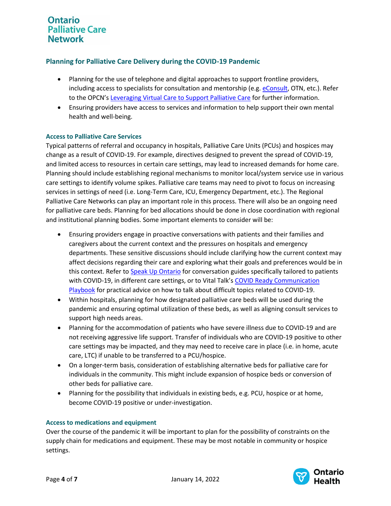## **Planning for Palliative Care Delivery during the COVID-19 Pandemic**

- Planning for the use of telephone and digital approaches to support frontline providers, including access to specialists for consultation and mentorship (e.g. [eConsult,](https://econsultontario.ca/resources/) OTN, etc.). Refer to the OPCN's [Leveraging Virtual Care to Support Palliative Care](https://www.ontariopalliativecarenetwork.ca/sites/opcn/files/2021-10/LeveragingVirtualCareforPalliativeCare.pdf) for further information.
- Ensuring providers have access to services and information to help support their own mental health and well-being.

### **Access to Palliative Care Services**

Typical patterns of referral and occupancy in hospitals, Palliative Care Units (PCUs) and hospices may change as a result of COVID-19. For example, directives designed to prevent the spread of COVID-19, and limited access to resources in certain care settings, may lead to increased demands for home care. Planning should include establishing regional mechanisms to monitor local/system service use in various care settings to identify volume spikes. Palliative care teams may need to pivot to focus on increasing services in settings of need (i.e. Long-Term Care, ICU, Emergency Department, etc.). The Regional Palliative Care Networks can play an important role in this process. There will also be an ongoing need for palliative care beds. Planning for bed allocations should be done in close coordination with regional and institutional planning bodies. Some important elements to consider will be:

- Ensuring providers engage in proactive conversations with patients and their families and caregivers about the current context and the pressures on hospitals and emergency departments. These sensitive discussions should include clarifying how the current context may affect decisions regarding their care and exploring what their goals and preferences would be in this context. Refer t[o Speak Up Ontario](https://www.speakupontario.ca/) for conversation guides specifically tailored to patients with COVID-19, in different care settings, or to Vital Talk's COVID Ready Communication [Playbook](https://www.vitaltalk.org/guides/covid-19-communication-skills/) for practical advice on how to talk about difficult topics related to COVID-19.
- Within hospitals, planning for how designated palliative care beds will be used during the pandemic and ensuring optimal utilization of these beds, as well as aligning consult services to support high needs areas.
- Planning for the accommodation of patients who have severe illness due to COVID-19 and are not receiving aggressive life support. Transfer of individuals who are COVID-19 positive to other care settings may be impacted, and they may need to receive care in place (i.e. in home, acute care, LTC) if unable to be transferred to a PCU/hospice.
- On a longer-term basis, consideration of establishing alternative beds for palliative care for individuals in the community. This might include expansion of hospice beds or conversion of other beds for palliative care.
- Planning for the possibility that individuals in existing beds, e.g. PCU, hospice or at home, become COVID-19 positive or under-investigation.

### **Access to medications and equipment**

Over the course of the pandemic it will be important to plan for the possibility of constraints on the supply chain for medications and equipment. These may be most notable in community or hospice settings.

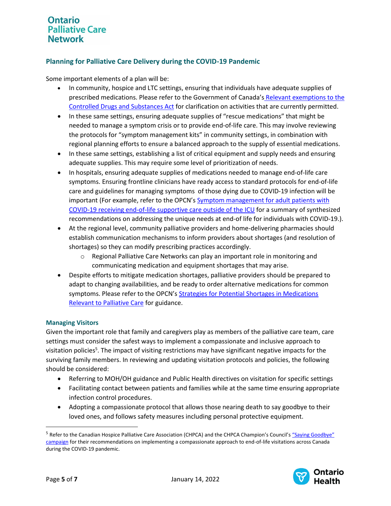## **Planning for Palliative Care Delivery during the COVID-19 Pandemic**

Some important elements of a plan will be:

- In community, hospice and LTC settings, ensuring that individuals have adequate supplies of prescribed medications. Please refer to the Government of Canada's [Relevant exemptions to the](https://www.canada.ca/en/health-canada/services/substance-use/toolkit-substance-use-covid-19/exemptions-controlled-drugs-substances-act.html)  [Controlled Drugs and Substances Act](https://www.canada.ca/en/health-canada/services/substance-use/toolkit-substance-use-covid-19/exemptions-controlled-drugs-substances-act.html) for clarification on activities that are currently permitted.
- In these same settings, ensuring adequate supplies of "rescue medications" that might be needed to manage a symptom crisis or to provide end-of-life care. This may involve reviewing the protocols for "symptom management kits" in community settings, in combination with regional planning efforts to ensure a balanced approach to the supply of essential medications.
- In these same settings, establishing a list of critical equipment and supply needs and ensuring adequate supplies. This may require some level of prioritization of needs.
- In hospitals, ensuring adequate supplies of medications needed to manage end-of-life care symptoms. Ensuring frontline clinicians have ready access to standard protocols for end-of-life care and guidelines for managing symptoms of those dying due to COVID-19 infection will be important (For example, refer to the OPCN's Symptom management for adult patients with [COVID-19 receiving end-of-life supportive care outside of the ICU](https://www.ontariopalliativecarenetwork.ca/sites/opcn/files/2021-01/EOLSMCOVID.pdf) for a summary of synthesized recommendations on addressing the unique needs at end-of life for individuals with COVID-19.).
- At the regional level, community palliative providers and home-delivering pharmacies should establish communication mechanisms to inform providers about shortages (and resolution of shortages) so they can modify prescribing practices accordingly.
	- o Regional Palliative Care Networks can play an important role in monitoring and communicating medication and equipment shortages that may arise.
- Despite efforts to mitigate medication shortages, palliative providers should be prepared to adapt to changing availabilities, and be ready to order alternative medications for common symptoms. Please refer to the OPCN's [Strategies for Potential Shortages in Medications](https://www.ontariopalliativecarenetwork.ca/sites/opcn/files/StrategiesForManagingShortagesInPCMedicationsDuringCOVID19.pdf)  [Relevant to Palliative Care](https://www.ontariopalliativecarenetwork.ca/sites/opcn/files/StrategiesForManagingShortagesInPCMedicationsDuringCOVID19.pdf) for guidance.

### **Managing Visitors**

Given the important role that family and caregivers play as members of the palliative care team, care settings must consider the safest ways to implement a compassionate and inclusive approach to visitation policies<sup>5</sup>. The impact of visiting restrictions may have significant negative impacts for the surviving family members. In reviewing and updating visitation protocols and policies, the following should be considered:

- Referring to MOH/OH guidance and Public Health directives on visitation for specific settings
- Facilitating contact between patients and families while at the same time ensuring appropriate infection control procedures.
- Adopting a compassionate protocol that allows those nearing death to say goodbye to their loved ones, and follows safety measures including personal protective equipment.

<sup>&</sup>lt;sup>5</sup> Refer to the Canadian Hospice Palliative Care Association (CHPCA) and the CHPCA Champion's Council's "Saying Goodbye" [campaign](https://www.chpca.ca/campaigns/saying-goodbye/) for their recommendations on implementing a compassionate approach to end-of-life visitations across Canada during the COVID-19 pandemic.

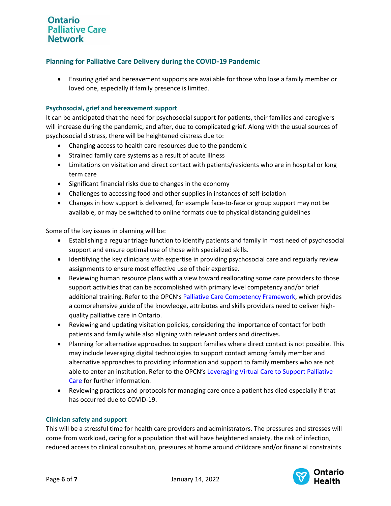### **Planning for Palliative Care Delivery during the COVID-19 Pandemic**

• Ensuring grief and bereavement supports are available for those who lose a family member or loved one, especially if family presence is limited.

### **Psychosocial, grief and bereavement support**

It can be anticipated that the need for psychosocial support for patients, their families and caregivers will increase during the pandemic, and after, due to complicated grief. Along with the usual sources of psychosocial distress, there will be heightened distress due to:

- Changing access to health care resources due to the pandemic
- Strained family care systems as a result of acute illness
- Limitations on visitation and direct contact with patients/residents who are in hospital or long term care
- Significant financial risks due to changes in the economy
- Challenges to accessing food and other supplies in instances of self-isolation
- Changes in how support is delivered, for example face-to-face or group support may not be available, or may be switched to online formats due to physical distancing guidelines

Some of the key issues in planning will be:

- Establishing a regular triage function to identify patients and family in most need of psychosocial support and ensure optimal use of those with specialized skills.
- Identifying the key clinicians with expertise in providing psychosocial care and regularly review assignments to ensure most effective use of their expertise.
- Reviewing human resource plans with a view toward reallocating some care providers to those support activities that can be accomplished with primary level competency and/or brief additional training. Refer to the OPCN's [Palliative Care Competency Framework,](https://www.ontariopalliativecarenetwork.ca/sites/opcn/files/2021-01/OPCNCompetencyFramework.pdf) which provides a comprehensive guide of the knowledge, attributes and skills providers need to deliver highquality palliative care in Ontario.
- Reviewing and updating visitation policies, considering the importance of contact for both patients and family while also aligning with relevant orders and directives.
- Planning for alternative approaches to support families where direct contact is not possible. This may include leveraging digital technologies to support contact among family member and alternative approaches to providing information and support to family members who are not able to enter an institution. Refer to the OPCN's [Leveraging Virtual Care to Support Palliative](https://www.ontariopalliativecarenetwork.ca/sites/opcn/files/2021-10/LeveragingVirtualCareforPalliativeCare.pdf)  [Care](https://www.ontariopalliativecarenetwork.ca/sites/opcn/files/2021-10/LeveragingVirtualCareforPalliativeCare.pdf) for further information.
- Reviewing practices and protocols for managing care once a patient has died especially if that has occurred due to COVID-19.

### **Clinician safety and support**

This will be a stressful time for health care providers and administrators. The pressures and stresses will come from workload, caring for a population that will have heightened anxiety, the risk of infection, reduced access to clinical consultation, pressures at home around childcare and/or financial constraints